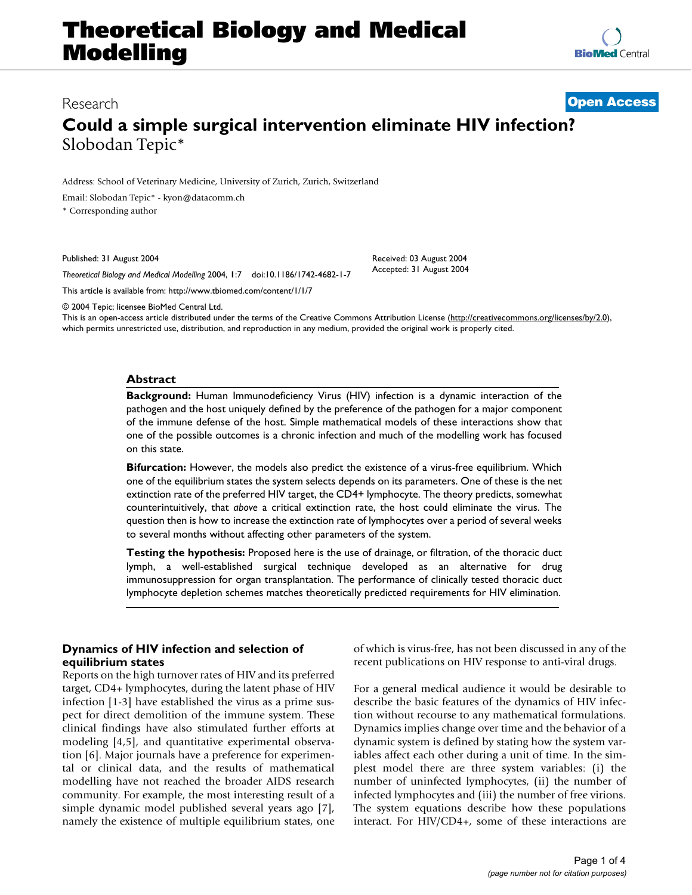# **Theoretical Biology and Medical Modelling**

**[BioMed](http://www.biomedcentral.com/)** Central

## Research **[Open Access](http://www.biomedcentral.com/info/about/charter/)**

## **Could a simple surgical intervention eliminate HIV infection?** Slobodan Tepic\*

Address: School of Veterinary Medicine, University of Zurich, Zurich, Switzerland

Email: Slobodan Tepic\* - kyon@datacomm.ch

\* Corresponding author

Published: 31 August 2004

*Theoretical Biology and Medical Modelling* 2004, **1**:7 doi:10.1186/1742-4682-1-7

[This article is available from: http://www.tbiomed.com/content/1/1/7](http://www.tbiomed.com/content/1/1/7)

© 2004 Tepic; licensee BioMed Central Ltd.

This is an open-access article distributed under the terms of the Creative Commons Attribution License (<http://creativecommons.org/licenses/by/2.0>), which permits unrestricted use, distribution, and reproduction in any medium, provided the original work is properly cited.

Received: 03 August 2004 Accepted: 31 August 2004

### **Abstract**

**Background:** Human Immunodeficiency Virus (HIV) infection is a dynamic interaction of the pathogen and the host uniquely defined by the preference of the pathogen for a major component of the immune defense of the host. Simple mathematical models of these interactions show that one of the possible outcomes is a chronic infection and much of the modelling work has focused on this state.

**Bifurcation:** However, the models also predict the existence of a virus-free equilibrium. Which one of the equilibrium states the system selects depends on its parameters. One of these is the net extinction rate of the preferred HIV target, the CD4+ lymphocyte. The theory predicts, somewhat counterintuitively, that *above* a critical extinction rate, the host could eliminate the virus. The question then is how to increase the extinction rate of lymphocytes over a period of several weeks to several months without affecting other parameters of the system.

**Testing the hypothesis:** Proposed here is the use of drainage, or filtration, of the thoracic duct lymph, a well-established surgical technique developed as an alternative for drug immunosuppression for organ transplantation. The performance of clinically tested thoracic duct lymphocyte depletion schemes matches theoretically predicted requirements for HIV elimination.

## **Dynamics of HIV infection and selection of equilibrium states**

Reports on the high turnover rates of HIV and its preferred target, CD4+ lymphocytes, during the latent phase of HIV infection [1-3] have established the virus as a prime suspect for direct demolition of the immune system. These clinical findings have also stimulated further efforts at modeling [4,5], and quantitative experimental observation [6]. Major journals have a preference for experimental or clinical data, and the results of mathematical modelling have not reached the broader AIDS research community. For example, the most interesting result of a simple dynamic model published several years ago [7], namely the existence of multiple equilibrium states, one of which is virus-free, has not been discussed in any of the recent publications on HIV response to anti-viral drugs.

For a general medical audience it would be desirable to describe the basic features of the dynamics of HIV infection without recourse to any mathematical formulations. Dynamics implies change over time and the behavior of a dynamic system is defined by stating how the system variables affect each other during a unit of time. In the simplest model there are three system variables: (i) the number of uninfected lymphocytes, (ii) the number of infected lymphocytes and (iii) the number of free virions. The system equations describe how these populations interact. For HIV/CD4+, some of these interactions are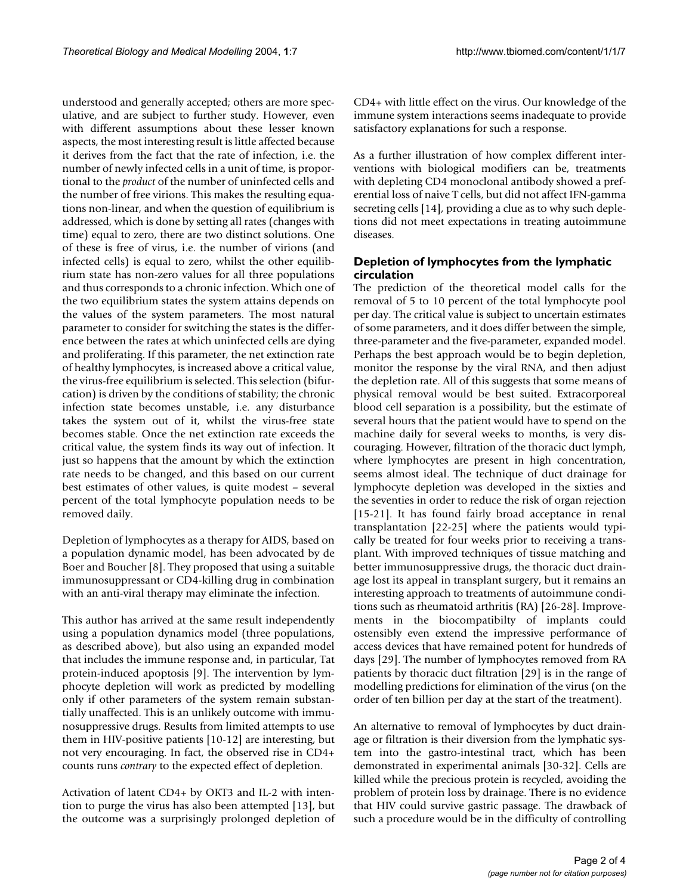understood and generally accepted; others are more speculative, and are subject to further study. However, even with different assumptions about these lesser known aspects, the most interesting result is little affected because it derives from the fact that the rate of infection, i.e. the number of newly infected cells in a unit of time, is proportional to the *product* of the number of uninfected cells and the number of free virions. This makes the resulting equations non-linear, and when the question of equilibrium is addressed, which is done by setting all rates (changes with time) equal to zero, there are two distinct solutions. One of these is free of virus, i.e. the number of virions (and infected cells) is equal to zero, whilst the other equilibrium state has non-zero values for all three populations and thus corresponds to a chronic infection. Which one of the two equilibrium states the system attains depends on the values of the system parameters. The most natural parameter to consider for switching the states is the difference between the rates at which uninfected cells are dying and proliferating. If this parameter, the net extinction rate of healthy lymphocytes, is increased above a critical value, the virus-free equilibrium is selected. This selection (bifurcation) is driven by the conditions of stability; the chronic infection state becomes unstable, i.e. any disturbance takes the system out of it, whilst the virus-free state becomes stable. Once the net extinction rate exceeds the critical value, the system finds its way out of infection. It just so happens that the amount by which the extinction rate needs to be changed, and this based on our current best estimates of other values, is quite modest – several percent of the total lymphocyte population needs to be removed daily.

Depletion of lymphocytes as a therapy for AIDS, based on a population dynamic model, has been advocated by de Boer and Boucher [8]. They proposed that using a suitable immunosuppressant or CD4-killing drug in combination with an anti-viral therapy may eliminate the infection.

This author has arrived at the same result independently using a population dynamics model (three populations, as described above), but also using an expanded model that includes the immune response and, in particular, Tat protein-induced apoptosis [9]. The intervention by lymphocyte depletion will work as predicted by modelling only if other parameters of the system remain substantially unaffected. This is an unlikely outcome with immunosuppressive drugs. Results from limited attempts to use them in HIV-positive patients [10-12] are interesting, but not very encouraging. In fact, the observed rise in CD4+ counts runs *contrary* to the expected effect of depletion.

Activation of latent CD4+ by OKT3 and IL-2 with intention to purge the virus has also been attempted [\[13](#page-2-0)], but the outcome was a surprisingly prolonged depletion of CD4+ with little effect on the virus. Our knowledge of the immune system interactions seems inadequate to provide satisfactory explanations for such a response.

As a further illustration of how complex different interventions with biological modifiers can be, treatments with depleting CD4 monoclonal antibody showed a preferential loss of naive T cells, but did not affect IFN-gamma secreting cells [14], providing a clue as to why such depletions did not meet expectations in treating autoimmune diseases.

## **Depletion of lymphocytes from the lymphatic circulation**

The prediction of the theoretical model calls for the removal of 5 to 10 percent of the total lymphocyte pool per day. The critical value is subject to uncertain estimates of some parameters, and it does differ between the simple, three-parameter and the five-parameter, expanded model. Perhaps the best approach would be to begin depletion, monitor the response by the viral RNA, and then adjust the depletion rate. All of this suggests that some means of physical removal would be best suited. Extracorporeal blood cell separation is a possibility, but the estimate of several hours that the patient would have to spend on the machine daily for several weeks to months, is very discouraging. However, filtration of the thoracic duct lymph, where lymphocytes are present in high concentration, seems almost ideal. The technique of duct drainage for lymphocyte depletion was developed in the sixties and the seventies in order to reduce the risk of organ rejection [15-21]. It has found fairly broad acceptance in renal transplantation [22-25] where the patients would typically be treated for four weeks prior to receiving a transplant. With improved techniques of tissue matching and better immunosuppressive drugs, the thoracic duct drainage lost its appeal in transplant surgery, but it remains an interesting approach to treatments of autoimmune conditions such as rheumatoid arthritis (RA) [26-28]. Improvements in the biocompatibilty of implants could ostensibly even extend the impressive performance of access devices that have remained potent for hundreds of days [29]. The number of lymphocytes removed from RA patients by thoracic duct filtration [29] is in the range of modelling predictions for elimination of the virus (on the order of ten billion per day at the start of the treatment).

An alternative to removal of lymphocytes by duct drainage or filtration is their diversion from the lymphatic system into the gastro-intestinal tract, which has been demonstrated in experimental animals [30-32]. Cells are killed while the precious protein is recycled, avoiding the problem of protein loss by drainage. There is no evidence that HIV could survive gastric passage. The drawback of such a procedure would be in the difficulty of controlling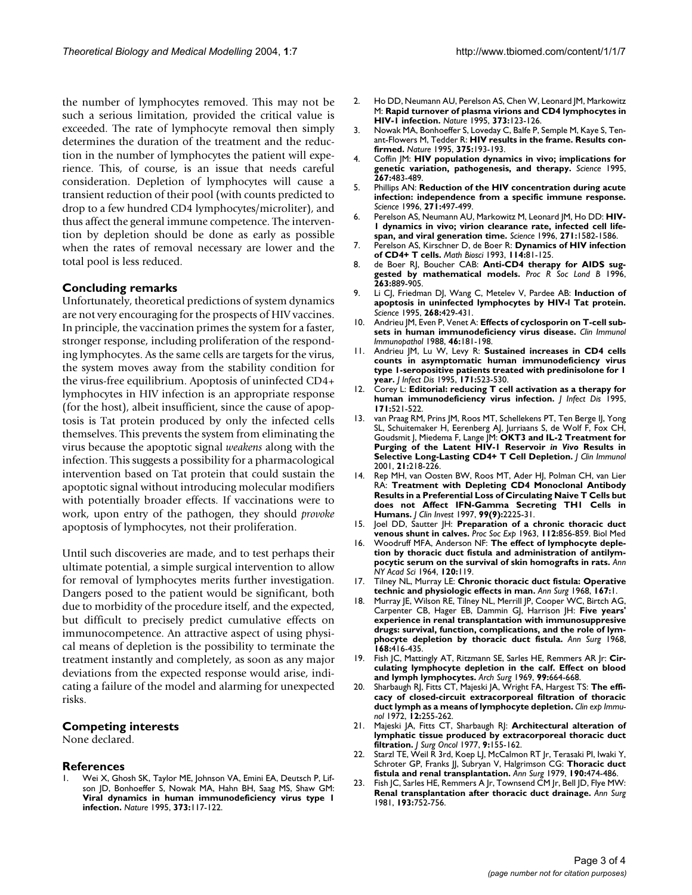the number of lymphocytes removed. This may not be such a serious limitation, provided the critical value is exceeded. The rate of lymphocyte removal then simply determines the duration of the treatment and the reduction in the number of lymphocytes the patient will experience. This, of course, is an issue that needs careful consideration. Depletion of lymphocytes will cause a transient reduction of their pool (with counts predicted to drop to a few hundred CD4 lymphocytes/microliter), and thus affect the general immune competence. The intervention by depletion should be done as early as possible when the rates of removal necessary are lower and the total pool is less reduced.

#### **Concluding remarks**

Unfortunately, theoretical predictions of system dynamics are not very encouraging for the prospects of HIV vaccines. In principle, the vaccination primes the system for a faster, stronger response, including proliferation of the responding lymphocytes. As the same cells are targets for the virus, the system moves away from the stability condition for the virus-free equilibrium. Apoptosis of uninfected CD4+ lymphocytes in HIV infection is an appropriate response (for the host), albeit insufficient, since the cause of apoptosis is Tat protein produced by only the infected cells themselves. This prevents the system from eliminating the virus because the apoptotic signal *weakens* along with the infection. This suggests a possibility for a pharmacological intervention based on Tat protein that could sustain the apoptotic signal without introducing molecular modifiers with potentially broader effects. If vaccinations were to work, upon entry of the pathogen, they should *provoke* apoptosis of lymphocytes, not their proliferation.

Until such discoveries are made, and to test perhaps their ultimate potential, a simple surgical intervention to allow for removal of lymphocytes merits further investigation. Dangers posed to the patient would be significant, both due to morbidity of the procedure itself, and the expected, but difficult to precisely predict cumulative effects on immunocompetence. An attractive aspect of using physical means of depletion is the possibility to terminate the treatment instantly and completely, as soon as any major deviations from the expected response would arise, indicating a failure of the model and alarming for unexpected risks.

#### **Competing interests**

None declared.

#### **References**

Wei X, Ghosh SK, Taylor ME, Johnson VA, Emini EA, Deutsch P, Lifson JD, Bonhoeffer S, Nowak MA, Hahn BH, Saag MS, Shaw GM: **[Viral dynamics in human immunodeficiency virus type 1](http://www.ncbi.nlm.nih.gov/entrez/query.fcgi?cmd=Retrieve&db=PubMed&dopt=Abstract&list_uids=10.1038/373117a0) [infection](http://www.ncbi.nlm.nih.gov/entrez/query.fcgi?cmd=Retrieve&db=PubMed&dopt=Abstract&list_uids=10.1038/373117a0)[.](http://www.ncbi.nlm.nih.gov/entrez/query.fcgi?cmd=Retrieve&db=PubMed&dopt=Abstract&list_uids=7529365)** *Nature* 1995, **373:**117-122.

- 2. Ho DD, Neumann AU, Perelson AS, Chen W, Leonard JM, Markowitz M: **[Rapid turnover of plasma virions and CD4 lymphocytes in](http://www.ncbi.nlm.nih.gov/entrez/query.fcgi?cmd=Retrieve&db=PubMed&dopt=Abstract&list_uids=10.1038/373123a0) [HIV-1 infection](http://www.ncbi.nlm.nih.gov/entrez/query.fcgi?cmd=Retrieve&db=PubMed&dopt=Abstract&list_uids=10.1038/373123a0)[.](http://www.ncbi.nlm.nih.gov/entrez/query.fcgi?cmd=Retrieve&db=PubMed&dopt=Abstract&list_uids=7816094)** *Nature* 1995, **373:**123-126.
- 3. Nowak MA, Bonhoeffer S, Loveday C, Balfe P, Semple M, Kaye S, Tenant-Flowers M, Tedder R: **[HIV results in the frame. Results con](http://www.ncbi.nlm.nih.gov/entrez/query.fcgi?cmd=Retrieve&db=PubMed&dopt=Abstract&list_uids=10.1038/375193a0)[firmed](http://www.ncbi.nlm.nih.gov/entrez/query.fcgi?cmd=Retrieve&db=PubMed&dopt=Abstract&list_uids=10.1038/375193a0)[.](http://www.ncbi.nlm.nih.gov/entrez/query.fcgi?cmd=Retrieve&db=PubMed&dopt=Abstract&list_uids=7746311)** *Nature* 1995, **375:**193-193.
- 4. Coffin JM: **[HIV population dynamics in vivo; implications for](http://www.ncbi.nlm.nih.gov/entrez/query.fcgi?cmd=Retrieve&db=PubMed&dopt=Abstract&list_uids=7824947) [genetic variation, pathogenesis, and therapy.](http://www.ncbi.nlm.nih.gov/entrez/query.fcgi?cmd=Retrieve&db=PubMed&dopt=Abstract&list_uids=7824947)** *Science* 1995, **267:**483-489.
- 5. Phillips AN: **[Reduction of the HIV concentration during acute](http://www.ncbi.nlm.nih.gov/entrez/query.fcgi?cmd=Retrieve&db=PubMed&dopt=Abstract&list_uids=8560262) [infection: independence from a specific immune response.](http://www.ncbi.nlm.nih.gov/entrez/query.fcgi?cmd=Retrieve&db=PubMed&dopt=Abstract&list_uids=8560262)** *Science* 1996, **271:**497-499.
- 6. Perelson AS, Neumann AU, Markowitz M, Leonard JM, Ho DD: **[HIV-](http://www.ncbi.nlm.nih.gov/entrez/query.fcgi?cmd=Retrieve&db=PubMed&dopt=Abstract&list_uids=8599114)[1 dynamics in vivo; virion clearance rate, infected cell life](http://www.ncbi.nlm.nih.gov/entrez/query.fcgi?cmd=Retrieve&db=PubMed&dopt=Abstract&list_uids=8599114)[span, and viral generation time.](http://www.ncbi.nlm.nih.gov/entrez/query.fcgi?cmd=Retrieve&db=PubMed&dopt=Abstract&list_uids=8599114)** *Science* 1996, **271:**1582-1586.
- 7. Perelson AS, Kirschner D, de Boer R: **[Dynamics of HIV infection](http://www.ncbi.nlm.nih.gov/entrez/query.fcgi?cmd=Retrieve&db=PubMed&dopt=Abstract&list_uids=10.1016/0025-5564(93)90043-A) [of CD4+ T cells](http://www.ncbi.nlm.nih.gov/entrez/query.fcgi?cmd=Retrieve&db=PubMed&dopt=Abstract&list_uids=10.1016/0025-5564(93)90043-A)[.](http://www.ncbi.nlm.nih.gov/entrez/query.fcgi?cmd=Retrieve&db=PubMed&dopt=Abstract&list_uids=8096155)** *Math Biosci* 1993, **114:**81-125.
- 8. de Boer RJ, Boucher CAB: **Anti-CD4 therapy for AIDS suggested by mathematical models.** *Proc R Soc Lond B* 1996, **263:**889-905.
- 9. Li CJ, Friedman DJ, Wang C, Metelev V, Pardee AB: **[Induction of](http://www.ncbi.nlm.nih.gov/entrez/query.fcgi?cmd=Retrieve&db=PubMed&dopt=Abstract&list_uids=7716549) [apoptosis in uninfected lymphocytes by HIV-l Tat protein.](http://www.ncbi.nlm.nih.gov/entrez/query.fcgi?cmd=Retrieve&db=PubMed&dopt=Abstract&list_uids=7716549)** *Science* 1995, **268:**429-431.
- 10. Andrieu JM, Even P, Venet A: **[Effects of cyclosporin on T-cell sub](http://www.ncbi.nlm.nih.gov/entrez/query.fcgi?cmd=Retrieve&db=PubMed&dopt=Abstract&list_uids=10.1016/0090-1229(88)90071-2)[sets in human immunodeficiency virus disease.](http://www.ncbi.nlm.nih.gov/entrez/query.fcgi?cmd=Retrieve&db=PubMed&dopt=Abstract&list_uids=10.1016/0090-1229(88)90071-2)** *Clin Immunol Immunopathol* 1988, **46:**181-198.
- 11. Andrieu JM, Lu W, Levy R: **[Sustained increases in CD4 cells](http://www.ncbi.nlm.nih.gov/entrez/query.fcgi?cmd=Retrieve&db=PubMed&dopt=Abstract&list_uids=7876597) counts in asymptomatic human immunodeficiency virus [type 1-seropositive patients treated with predinisolone for 1](http://www.ncbi.nlm.nih.gov/entrez/query.fcgi?cmd=Retrieve&db=PubMed&dopt=Abstract&list_uids=7876597) [year.](http://www.ncbi.nlm.nih.gov/entrez/query.fcgi?cmd=Retrieve&db=PubMed&dopt=Abstract&list_uids=7876597)** *J Infect Dis* 1995, **171:**523-530.
- 12. Corey L: **[Editorial: reducing T cell activation as a therapy for](http://www.ncbi.nlm.nih.gov/entrez/query.fcgi?cmd=Retrieve&db=PubMed&dopt=Abstract&list_uids=7876596) [human immunodeficiency virus infection.](http://www.ncbi.nlm.nih.gov/entrez/query.fcgi?cmd=Retrieve&db=PubMed&dopt=Abstract&list_uids=7876596)** *J Infect Dis* 1995, **171:**521-522.
- <span id="page-2-0"></span>13. van Praag RM, Prins JM, Roos MT, Schellekens PT, Ten Berge IJ, Yong SL, Schuitemaker H, Eerenberg AJ, Jurriaans S, de Wolf F, Fox CH, Goudsmit J, Miedema F, Lange JM: **OKT3 and IL-2 Treatment for Purging of the Latent HIV-1 Reservoir** *in Vivo* **[Results in](http://www.ncbi.nlm.nih.gov/entrez/query.fcgi?cmd=Retrieve&db=PubMed&dopt=Abstract&list_uids=11403229) [Selective Long-Lasting CD4+ T Cell Depletion](http://www.ncbi.nlm.nih.gov/entrez/query.fcgi?cmd=Retrieve&db=PubMed&dopt=Abstract&list_uids=11403229)[.](http://www.ncbi.nlm.nih.gov/entrez/query.fcgi?cmd=Retrieve&db=PubMed&dopt=Abstract&list_uids=10.1023/A:1011091300321)** *J Clin Immunol* 2001, **21:**218-226.
- 14. Rep MH, van Oosten BW, Roos MT, Ader HJ, Polman CH, van Lier RA: **[Treatment with Depleting CD4 Monoclonal Antibody](http://www.ncbi.nlm.nih.gov/entrez/query.fcgi?cmd=Retrieve&db=PubMed&dopt=Abstract&list_uids=9151795) Results in a Preferential Loss of Circulating Naive T Cells but [does not Affect IFN-Gamma Secreting TH1 Cells in](http://www.ncbi.nlm.nih.gov/entrez/query.fcgi?cmd=Retrieve&db=PubMed&dopt=Abstract&list_uids=9151795) [Humans.](http://www.ncbi.nlm.nih.gov/entrez/query.fcgi?cmd=Retrieve&db=PubMed&dopt=Abstract&list_uids=9151795)** *J Clin Invest* 1997, **99(9):**2225-31.
- 15. Joel DD, Sautter JH: **Preparation of a chronic thoracic duct venous shunt in calves.** *Proc Soc Exp* 1963, **112:**856-859. Biol Med
- 16. Woodruff MFA, Anderson NF: **[The effect of lymphocyte deple](http://www.ncbi.nlm.nih.gov/entrez/query.fcgi?cmd=Retrieve&db=PubMed&dopt=Abstract&list_uids=14233856)[tion by thoracic duct fistula and administration of antilym](http://www.ncbi.nlm.nih.gov/entrez/query.fcgi?cmd=Retrieve&db=PubMed&dopt=Abstract&list_uids=14233856)[pocytic serum on the survival of skin homografts in rats.](http://www.ncbi.nlm.nih.gov/entrez/query.fcgi?cmd=Retrieve&db=PubMed&dopt=Abstract&list_uids=14233856)** *Ann NY Acad Sci* 1964, **120:**119.
- 17. Tilney NL, Murray LE: **[Chronic thoracic duct fistula: Operative](http://www.ncbi.nlm.nih.gov/entrez/query.fcgi?cmd=Retrieve&db=PubMed&dopt=Abstract&list_uids=4865020) [technic and physiologic effects in man.](http://www.ncbi.nlm.nih.gov/entrez/query.fcgi?cmd=Retrieve&db=PubMed&dopt=Abstract&list_uids=4865020)** *Ann Surg* 1968, **167:**1.
- 18. Murray JE, Wilson RE, Tilney NL, Merrill JP, Cooper WC, Birtch AG, Carpenter CB, Hager EB, Dammin GJ, Harrison JH: **[Five years'](http://www.ncbi.nlm.nih.gov/entrez/query.fcgi?cmd=Retrieve&db=PubMed&dopt=Abstract&list_uids=4175449) [experience in renal transplantation with immunosuppresive](http://www.ncbi.nlm.nih.gov/entrez/query.fcgi?cmd=Retrieve&db=PubMed&dopt=Abstract&list_uids=4175449) drugs: survival, function, complications, and the role of lym[phocyte depletion by thoracic duct fistula.](http://www.ncbi.nlm.nih.gov/entrez/query.fcgi?cmd=Retrieve&db=PubMed&dopt=Abstract&list_uids=4175449)** *Ann Surg* 1968, **168:**416-435.
- 19. Fish JC, Mattingly AT, Ritzmann SE, Sarles HE, Remmers AR Jr: **[Cir](http://www.ncbi.nlm.nih.gov/entrez/query.fcgi?cmd=Retrieve&db=PubMed&dopt=Abstract&list_uids=5350817)[culating lymphocyte depletion in the calf. Effect on blood](http://www.ncbi.nlm.nih.gov/entrez/query.fcgi?cmd=Retrieve&db=PubMed&dopt=Abstract&list_uids=5350817) [and lymph lymphocytes.](http://www.ncbi.nlm.nih.gov/entrez/query.fcgi?cmd=Retrieve&db=PubMed&dopt=Abstract&list_uids=5350817)** *Arch Surg* 1969, **99:**664-668.
- 20. Sharbaugh RJ, Fitts CT, Majeski JA, Wright FA, Hargest TS: **[The effi](http://www.ncbi.nlm.nih.gov/entrez/query.fcgi?cmd=Retrieve&db=PubMed&dopt=Abstract&list_uids=4648823)[cacy of closed-circuit extracorporeal filtration of thoracic](http://www.ncbi.nlm.nih.gov/entrez/query.fcgi?cmd=Retrieve&db=PubMed&dopt=Abstract&list_uids=4648823) [duct lymph as a means of lymphocyte depletion.](http://www.ncbi.nlm.nih.gov/entrez/query.fcgi?cmd=Retrieve&db=PubMed&dopt=Abstract&list_uids=4648823)** *Clin exp Immunol* 1972, **12:**255-262.
- 21. Majeski JA, Fitts CT, Sharbaugh RJ: **[Architectural alteration of](http://www.ncbi.nlm.nih.gov/entrez/query.fcgi?cmd=Retrieve&db=PubMed&dopt=Abstract&list_uids=301218) [lymphatic tissue produced by extracorporeal thoracic duct](http://www.ncbi.nlm.nih.gov/entrez/query.fcgi?cmd=Retrieve&db=PubMed&dopt=Abstract&list_uids=301218) [filtration.](http://www.ncbi.nlm.nih.gov/entrez/query.fcgi?cmd=Retrieve&db=PubMed&dopt=Abstract&list_uids=301218)** *J Surg Oncol* 1977, **9:**155-162.
- 22. Starzl TE, Weil R 3rd, Koep LJ, McCalmon RT Jr, Terasaki PI, Iwaki Y, Schroter GP, Franks JJ, Subryan V, Halgrimson CG: **[Thoracic duct](http://www.ncbi.nlm.nih.gov/entrez/query.fcgi?cmd=Retrieve&db=PubMed&dopt=Abstract&list_uids=384943) [fistula and renal transplantation.](http://www.ncbi.nlm.nih.gov/entrez/query.fcgi?cmd=Retrieve&db=PubMed&dopt=Abstract&list_uids=384943)** *Ann Surg* 1979, **190:**474-486.
- 23. Fish JC, Sarles HE, Remmers A Jr, Townsend CM Jr, Bell JD, Flye MW: **[Renal transplantation after thoracic duct drainage.](http://www.ncbi.nlm.nih.gov/entrez/query.fcgi?cmd=Retrieve&db=PubMed&dopt=Abstract&list_uids=7018426)** *Ann Surg* 1981, **193:**752-756.